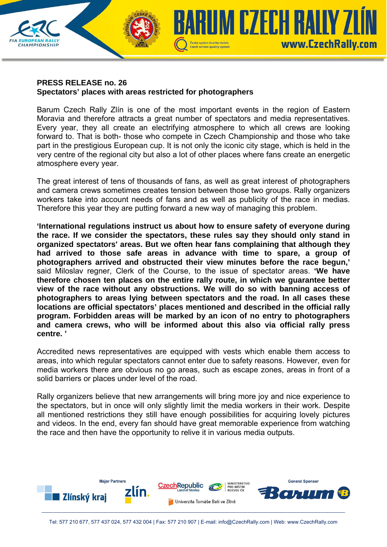## **PRESS RELEASE no. 26 Spectators' places with areas restricted for photographers**

**CHAMPIONSHIP** 

Barum Czech Rally Zlín is one of the most important events in the region of Eastern Moravia and therefore attracts a great number of spectators and media representatives. Every year, they all create an electrifying atmosphere to which all crews are looking forward to. That is both- those who compete in Czech Championship and those who take part in the prestigious European cup. It is not only the iconic city stage, which is held in the very centre of the regional city but also a lot of other places where fans create an energetic atmosphere every year.

Czech service quality system

**KUM CZECH RAILY ZI** 

www.CzechRally.com

The great interest of tens of thousands of fans, as well as great interest of photographers and camera crews sometimes creates tension between those two groups. Rally organizers workers take into account needs of fans and as well as publicity of the race in medias. Therefore this year they are putting forward a new way of managing this problem.

**'International regulations instruct us about how to ensure safety of everyone during the race. If we consider the spectators, these rules say they should only stand in organized spectators' areas. But we often hear fans complaining that although they had arrived to those safe areas in advance with time to spare, a group of photographers arrived and obstructed their view minutes before the race begun,'** said Miloslav regner, Clerk of the Course, to the issue of spectator areas. **'We have therefore chosen ten places on the entire rally route, in which we guarantee better view of the race without any obstructions. We will do so with banning access of photographers to areas lying between spectators and the road. In all cases these locations are official spectators' places mentioned and described in the official rally program. Forbidden areas will be marked by an icon of no entry to photographers and camera crews, who will be informed about this also via official rally press centre. '**

Accredited news representatives are equipped with vests which enable them access to areas, into which regular spectators cannot enter due to safety reasons. However, even for media workers there are obvious no go areas, such as escape zones, areas in front of a solid barriers or places under level of the road.

Rally organizers believe that new arrangements will bring more joy and nice experience to the spectators, but in once will only slightly limit the media workers in their work. Despite all mentioned restrictions they still have enough possibilities for acquiring lovely pictures and videos. In the end, every fan should have great memorable experience from watching the race and then have the opportunity to relive it in various media outputs.